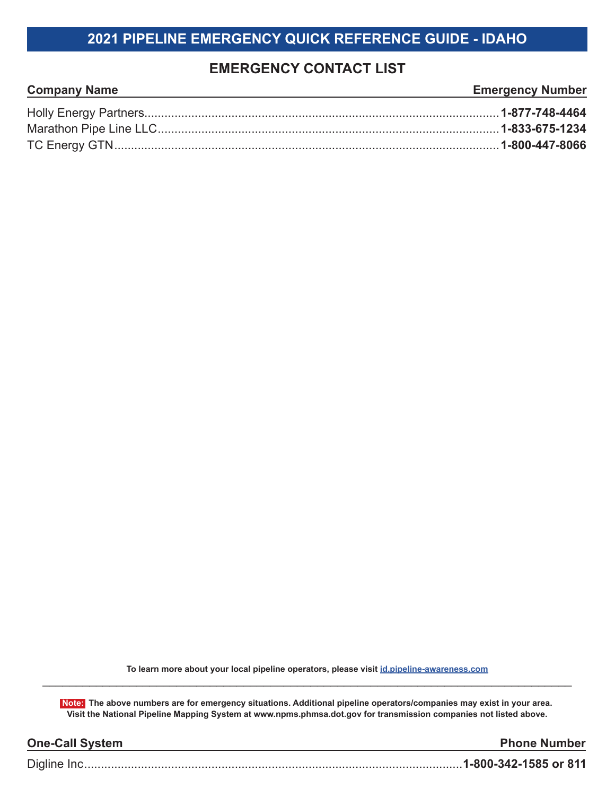## **2021 PIPELINE EMERGENCY QUICK REFERENCE GUIDE - IDAHO**

## **EMERGENCY CONTACT LIST**

| <b>Company Name</b><br>,我们也不能在这里的时候,我们也不能在这里的时候,我们也不能会在这里的时候,我们也不能会在这里的时候,我们也不能会在这里的时候,我们也不能会在这里的时候,我们也 | <b>Emergency Number</b> |
|---------------------------------------------------------------------------------------------------------|-------------------------|
|                                                                                                         |                         |
|                                                                                                         |                         |
|                                                                                                         |                         |

**To learn more about your local pipeline operators, please visit id.pipeline-awareness.com** \_\_\_\_\_\_\_\_\_\_\_\_\_\_\_\_\_\_\_\_\_\_\_\_\_\_\_\_\_\_\_\_\_\_\_\_\_\_\_\_\_\_\_\_\_\_\_\_\_\_\_\_\_\_\_\_\_\_\_\_\_\_\_\_\_\_\_\_\_\_\_\_\_\_\_\_\_\_\_

**Note: The above numbers are for emergency situations. Additional pipeline operators/companies may exist in your area. Visit the National Pipeline Mapping System at www.npms.phmsa.dot.gov for transmission companies not listed above.**

| <b>One-Call System</b> | <b>Phone Number</b> |
|------------------------|---------------------|
|                        |                     |